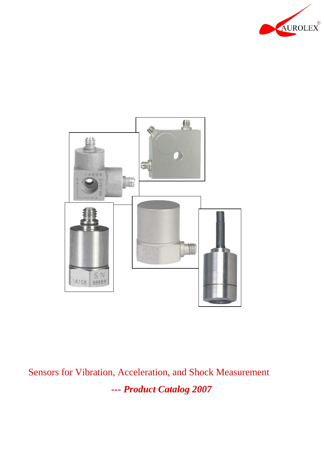



Sensors for Vibration, Acceleration, and Shock Measurement *--- Product Catalog 2007*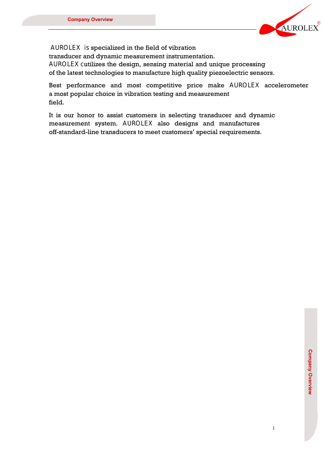

AUROLEX is specialized in the field of vibration transducer and dynamic measurement instrumentation. AUROLEX cutilizes the design, sensing material and unique processing of the latest technologies to manufacture high quality piezoelectric sensors.

Best performance and most competitive price make AUROLEX accelerometer a most popular choice in vibration testing and measurement field.

It is our honor to assist customers in selecting transducer and dynamic measurement system. AUROLEX also designs and manufactures off-standard-line transducers to meet customers' special requirements.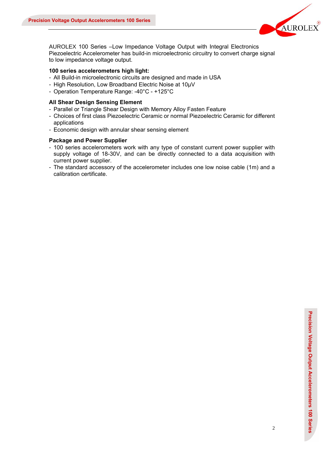

AUROLEX 100 Series –Low Impedance Voltage Output with Integral Electronics Piezoelectric Accelerometer has build-in microelectronic circuitry to convert charge signal to low impedance voltage output.

#### **100 series accelerometers high light:**

- All Build-in microelectronic circuits are designed and made in USA
- High Resolution, Low Broadband Electric Noise at 10μV
- Operation Temperature Range: -40°C +125°C

#### **All Shear Design Sensing Element**

- Parallel or Triangle Shear Design with Memory Alloy Fasten Feature
- Choices of first class Piezoelectric Ceramic or normal Piezoelectric Ceramic for different applications
- Economic design with annular shear sensing element

#### **Package and Power Supplier**

- 100 series accelerometers work with any type of constant current power supplier with supply voltage of 18-30V, and can be directly connected to a data acquisition with current power supplier.
- The standard accessory of the accelerometer includes one low noise cable (1m) and a calibration certificate.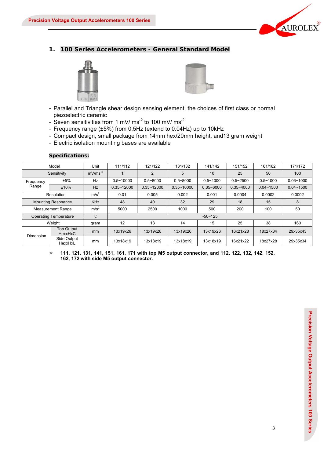

## **1. 100 Series Accelerometers - General Standard Model**





- Parallel and Triangle shear design sensing element, the choices of first class or normal piezoelectric ceramic
- Seven sensitivities from 1 mV/ ms<sup>-2</sup> to 100 mV/ ms<sup>-2</sup>
- Frequency range (±5%) from 0.5Hz (extend to 0.04Hz) up to 10kHz
- Compact design, small package from 14mm hex/20mm height, and13 gram weight
- Electric isolation mounting bases are available

|             | Model                        | Unit             | 111/112<br>121/122<br>131/132                       |                |                | 141/142       | 151/152       | 161/162       | 171/172       |
|-------------|------------------------------|------------------|-----------------------------------------------------|----------------|----------------|---------------|---------------|---------------|---------------|
| Sensitivity |                              | $mV/ms^{-2}$     |                                                     | 2              | 5              | 10            | 25            | 50            | 100           |
| Frequency   | ±5%                          | Hz               | $0.5 - 10000$                                       | $0.5 - 8000$   | $0.5 - 8000$   | $0.5 - 4000$  | $0.5 - 2500$  | $0.5 - 1000$  | $0.06 - 1000$ |
| Range       | ±10%                         | <b>Hz</b>        | $0.35 - 12000$                                      | $0.35 - 12000$ | $0.35 - 10000$ | $0.35 - 6000$ | $0.35 - 4000$ | $0.04 - 1500$ | $0.04 - 1500$ |
|             | Resolution                   | m/s <sup>2</sup> | 0.01<br>0.005<br>0.002<br>0.001<br>0.0004<br>0.0002 |                |                |               |               | 0.0002        |               |
|             | <b>Mounting Resonance</b>    | <b>KHz</b>       | 48<br>32<br>18<br>40<br>29<br>15<br>8               |                |                |               |               |               |               |
|             | <b>Measurement Range</b>     | m/s <sup>2</sup> | 5000                                                | 2500           | 1000           | 500           | 200           | 100           | 50            |
|             | <b>Operating Temperature</b> | $^{\circ}$ C     |                                                     |                |                | $-50 - 125$   |               |               |               |
|             | Weight                       | gram             | 12                                                  | 13             | 14             | 15            | 25            | 38            | 160           |
| Dimension   | <b>Top Output</b><br>HexxHxC | mm               | 13x19x26                                            | 13x19x26       | 13x19x26       | 13x19x26      | 16x21x28      | 18x27x34      | 29x35x43      |
|             | Side Output<br>HexxHxL       | mm               | 13x18x19                                            | 13x18x19       | 13x18x19       | 13x18x19      | 16x21x22      | 18x27x28      | 29x35x34      |

#### **Specifications:**

 $\diamond$  111, 121, 131, 141, 151, 161, 171 with top M5 output connector, and 112, 122, 132, 142, 152, **162, 172 with side M5 output connector.**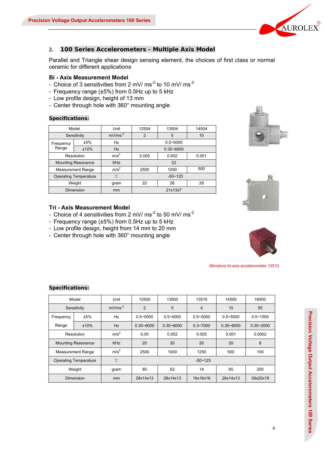

## **2. 100 Series Accelerometers - Multiple Axis Model**

Parallel and Triangle shear design sensing element, the choices of first class or normal ceramic for different applications

#### **Bi - Axis Measurement Model**

- Choice of 3 sensitivities from 2 mV/  $\text{ms}^2$  to 10 mV/ ms<sup>-2</sup>
- Frequency range (±5%) from 0.5Hz up to 5 kHz
- Low profile design, height of 13 mm
- Center through hole with 360° mounting angle

#### **Specifications:**

|            | Model                        | Unit             | 12504          | 13504 | 14504 |  |  |
|------------|------------------------------|------------------|----------------|-------|-------|--|--|
|            | Sensitivity                  | $mV/ms-2$        | $\mathfrak{p}$ | 5     | 10    |  |  |
| Frequency  | ±5%                          | Hz               | $0.5 - 5000$   |       |       |  |  |
| Range      | ±10%                         | Hz               | $0.35 - 6000$  |       |       |  |  |
| Resolution |                              | m/s <sup>2</sup> | 0.005          | 0.002 | 0.001 |  |  |
|            | <b>Mounting Resonance</b>    | <b>KHz</b>       | 22             |       |       |  |  |
|            | <b>Measurement Range</b>     | m/s <sup>2</sup> | 2500           | 1000  | 500   |  |  |
|            | <b>Operating Temperature</b> | 'n               | $-50 - 125$    |       |       |  |  |
| Weight     |                              | gram             | 22<br>26       |       | 28    |  |  |
|            | Dimension                    | mm               | 21x13x7        |       |       |  |  |





## **Tri - Axis Measurement Model**

- Choice of 4 sensitivities from 2 mV/  $\text{ms}^2$  to 50 mV/ ms<sup>-2</sup>
- Frequency range (±5%) from 0.5Hz up to 5 kHz
- Low profile design, height from 14 mm to 20 mm
- Center through hole with 360° mounting angle



Miniature tri-axis accelerometer 13510

|                           | Model                        | Unit             | 12500          | 13500         | 13510          | 14500         | 16500         |
|---------------------------|------------------------------|------------------|----------------|---------------|----------------|---------------|---------------|
|                           | Sensitivity                  | $mV/ms^{-2}$     | $\overline{2}$ | 5             | $\overline{4}$ | 10            | 50            |
| Frequency                 | ±5%                          | Hz               | $0.5 - 5000$   | $0.5 - 5000$  | $0.5 - 5000$   | $0.5 - 5000$  | $0.5 - 1500$  |
| Range                     | ±10%                         | Hz               | $0.35 - 6000$  | $0.35 - 6000$ | $0.3 - 7000$   | $0.35 - 6000$ | $0.35 - 2000$ |
| Resolution                |                              | m/s <sup>2</sup> | 0.05           | 0.002         | 0.005          | 0.001         | 0.0002        |
| <b>Mounting Resonance</b> |                              | <b>KHz</b>       | 20             | 20            | 20             | 20            | 8             |
|                           | <b>Measurement Range</b>     | m/s <sup>2</sup> | 2500           | 1000          | 1250           | 500           | 100           |
|                           | <b>Operating Temperature</b> | $^{\circ}$ C     |                |               | $-50 \sim 125$ |               |               |
| Weight                    |                              | gram             | 60             | 62            | 14             | 65            | 200           |
|                           | <b>Dimension</b>             | mm               | 28x14x13       | 28x14x13      | 16x16x16       | 28x14x13      | 39x20x18      |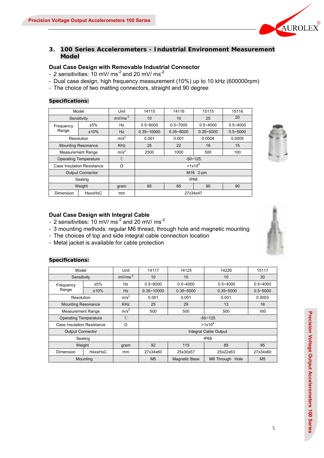

## **3. 100 Series Accelerometers - Industrial Environment Measurement Model**

## **Dual Case Design with Removable Industrial Connector**

- 2 sensitivities: 10 mV/  $\text{ms}^2$  and 20 mV/ ms<sup>-2</sup>

- Dual case design, high frequency measurement (10%) up to 10 kHz (600000rpm)
- The choice of two matting connectors, straight and 90 degree

#### **Specifications:**

|                                                     | Model                        | Unit                                         | 14115          | 14116        | 15115         | 15116        |
|-----------------------------------------------------|------------------------------|----------------------------------------------|----------------|--------------|---------------|--------------|
|                                                     | Sensitivity                  | $mV/ms^{-2}$                                 | 10             | 10           | 25            | 20           |
| Frequency                                           | ±5%                          | Hz                                           | $0.5 - 8000$   | $0.5 - 7000$ | $0.5 - 4000$  | $0.5 - 4000$ |
| Range                                               | ±10%                         | Hz                                           | $0.35 - 10000$ |              | $0.35 - 5000$ | $0.5 - 5000$ |
|                                                     | Resolution                   | m/s <sup>2</sup><br>0.001<br>0.0004<br>0.001 |                |              |               | 0.0005       |
| <b>KHz</b><br>25<br>22<br><b>Mounting Resonance</b> |                              |                                              |                | 16           | 15            |              |
|                                                     | <b>Measurement Range</b>     | m/s <sup>2</sup>                             | 2500           | 1000         | 500           | 100          |
|                                                     | <b>Operating Temperature</b> | °C                                           |                |              | $-50 - 125$   |              |
|                                                     | Case Insulation Resistance   | Ω                                            |                |              | $>1x10^8$     |              |
|                                                     | <b>Output Connector</b>      |                                              |                |              | M16 2-pin     |              |
|                                                     | Sealing                      |                                              |                |              | IP68          |              |
| Weight                                              |                              | gram                                         | 85             | 85           | 90            | 90           |
| <b>Dimension</b>                                    | HexxHxC                      | <sub>mm</sub>                                |                | 27x34x47     |               |              |



#### **Dual Case Design with Integral Cable**

- 2 sensitivities: 10 mV/  $\text{ms}^2$  and 20 mV/ ms<sup>-2</sup>
- 3 mounting methods: regular M6 thread, through hole and magnetic mounting
- The choices of top and side integral cable connection location
- Metal jacket is available for cable protection

| Model                        |                  | Unit             | 14117                                            | 14125                    | 14226                 | 15117          |  |
|------------------------------|------------------|------------------|--------------------------------------------------|--------------------------|-----------------------|----------------|--|
| Sensitivity                  |                  | $mV/ms^{-2}$     | 10                                               | 10                       | 10                    | 30             |  |
| Frequency                    | ±5%              | Hz               | $0.5 - 8000$                                     | $0.5 - 4000$             | $0.5 - 4000$          |                |  |
| Range                        | ±10%             | Hz               | $0.35 - 10000$<br>$0.35 - 5000$<br>$0.35 - 5000$ |                          |                       | $0.5 - 5000$   |  |
| Resolution                   |                  | m/s <sup>2</sup> | 0.001                                            | 0.001<br>0.001<br>0.0003 |                       |                |  |
| <b>Mounting Resonance</b>    |                  | <b>KHz</b>       | 29<br>13<br>25<br>16                             |                          |                       |                |  |
| <b>Measurement Range</b>     | m/s <sup>2</sup> | 500              | 500                                              | 500                      | 160                   |                |  |
| <b>Operating Temperature</b> |                  | °C               |                                                  |                          | $-50 - 125$           |                |  |
| Case Insulation Resistance   |                  | Ω                |                                                  |                          | $>1x10^8$             |                |  |
| <b>Output Connector</b>      |                  |                  |                                                  |                          | Integral Cable Output |                |  |
|                              | Sealing          |                  |                                                  |                          | IP68                  |                |  |
| Weight                       |                  | gram             | 115<br>92<br>85                                  |                          |                       |                |  |
| Dimension                    | HexxHxC          | mm               | 27x34x60                                         | 25x30x57                 | 25x22x63              | 27x34x60       |  |
|                              | Mounting         |                  | M <sub>5</sub>                                   | <b>Magnetic Base</b>     | M6 Through Hole       | M <sub>5</sub> |  |

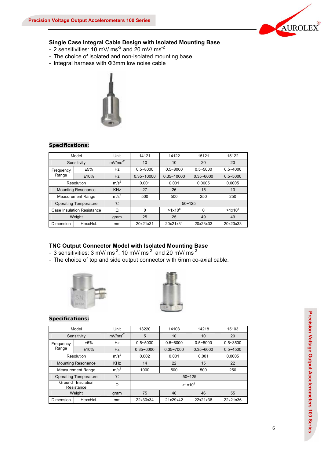

#### **Single Case Integral Cable Design with Isolated Mounting Base**

- 2 sensitivities:  $10 \text{ mV/ms}^2$  and  $20 \text{ mV/ms}^2$
- The choice of isolated and non-isolated mounting base
- Integral harness with Φ3mm low noise cable



## **Specifications:**

|           | Model                        | Unit             | 14121                            | 14122        | 15121         | 15122        |
|-----------|------------------------------|------------------|----------------------------------|--------------|---------------|--------------|
|           | Sensitivity                  | $mV/ms^{-2}$     | 10<br>10                         |              | 20            | 20           |
| Frequency | ±5%                          | Hz               | $0.5 - 8000$                     | $0.5 - 8000$ | $0.5 - 5000$  | $0.5 - 4000$ |
| Range     | ±10%                         | <b>Hz</b>        | $0.35 - 10000$<br>$0.35 - 10000$ |              | $0.35 - 6000$ | $0.5 - 5000$ |
|           | Resolution                   | m/s <sup>2</sup> | 0.001                            | 0.001        | 0.0005        | 0.0005       |
|           | <b>Mounting Resonance</b>    | <b>KHz</b>       | 27                               | 26           | 15            | 13           |
|           | <b>Measurement Range</b>     | m/s <sup>2</sup> | 500                              | 500          | 250           | 250          |
|           | <b>Operating Temperature</b> | °C               |                                  | $50 - 125$   |               |              |
|           | Case Insulation Resistance   | Ω                | $\Omega$                         | $>1x10^8$    | $\Omega$      | $>1x10^8$    |
|           | Weight                       | gram             | 25                               | 25           |               | 49           |
| Dimension | HexxHxL                      | mm               | 20x21x31                         | 20x21x31     | 20x23x33      | 20x23x33     |

#### **TNC Output Connector Model with Isolated Mounting Base**

- 3 sensitivities: 3 mV/ ms<sup>-2</sup>, 10 mV/ ms<sup>-2</sup> and 20 mV/ ms<sup>-2</sup>
- The choice of top and side output connector with 5mm co-axial cable.





| Model                                                |                              | Unit             | 13220                             | 14103        | 14218         | 15103        |  |
|------------------------------------------------------|------------------------------|------------------|-----------------------------------|--------------|---------------|--------------|--|
|                                                      | Sensitivity                  | $mV/ms-2$        | 5                                 | 10<br>10     |               |              |  |
| Frequency                                            | ±5%                          | Hz               | $0.5 - 5000$                      | $0.5 - 6000$ | $0.5 - 5000$  | $0.5 - 3500$ |  |
| Range                                                | ±10%                         | <b>Hz</b>        | $0.35 - 6000$<br>$0.35 - 7000$    |              | $0.35 - 6000$ | $0.5 - 4500$ |  |
|                                                      | Resolution                   | m/s <sup>2</sup> | 0.002<br>0.001<br>0.0005<br>0.001 |              |               |              |  |
|                                                      | <b>Mounting Resonance</b>    | <b>KHz</b>       | 14                                | 22           | 15            | 22           |  |
|                                                      | <b>Measurement Range</b>     | m/s <sup>2</sup> | 1000                              | 500          | 500           | 250          |  |
|                                                      | <b>Operating Temperature</b> | °C               |                                   |              | $-50 - 125$   |              |  |
| Insulation<br>Ground<br>$>1x10^8$<br>Ω<br>Resistance |                              |                  |                                   |              |               |              |  |
|                                                      | Weight                       | gram             | 75                                | 46           | 46            | 55           |  |
| Dimension                                            | HexxHxL                      | mm               | 22x30x34                          | 21x29x42     | 22x21x36      | 22x21x36     |  |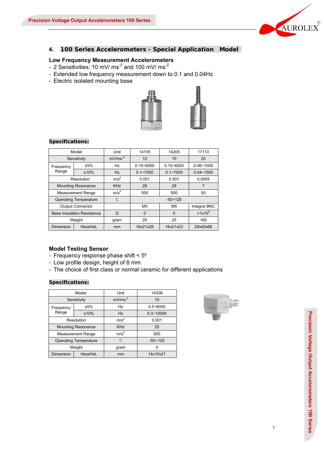

## **4. 100 Series Accelerometers - Special Application Model**

# **Low Frequency Measurement Accelerometers**

- 2 Sensitivities: 10 mV/  $\text{ms}^2$  and 100 mV/  $\text{ms}^2$
- Extended low frequency measurement down to 0.1 and 0.04Hz
- Electric isolated mounting base



#### **Specifications:**

|                  | Model                             | Unit             | 14105          | 14205          | 17110         |  |
|------------------|-----------------------------------|------------------|----------------|----------------|---------------|--|
|                  | Sensitivity                       | $mV/ms^{-2}$     | 10             | 10             | 20            |  |
| Frequency        | ±5%                               | Hz               | $0.15 - 6000$  | $0.15 - 6000$  | $0.06 - 1000$ |  |
| Range            | ±10%                              | Hz               | $0.1 - 7000$   | $0.1 - 7000$   | $0.04 - 1500$ |  |
|                  | Resolution                        | m/s <sup>2</sup> | 0.001          | 0.001          | 0.0005        |  |
|                  | <b>Mounting Resonance</b>         | <b>KHz</b>       | 28             | 28             | 7             |  |
|                  | <b>Measurement Range</b>          | m/s <sup>2</sup> | 500            | 500            | 50            |  |
|                  | <b>Operating Temperature</b>      | °C               | $-50 - 125$    |                |               |  |
|                  | <b>Output Connector</b>           |                  | M <sub>5</sub> | M <sub>5</sub> | Integral BNC  |  |
|                  | <b>Base Insulation Resistance</b> | Ω                | $\Omega$       | $\Omega$       | $>1x10^8$     |  |
|                  | Weight                            | gram             | 25<br>25       |                | 160           |  |
| <b>Dimension</b> | HexxHxL                           | mm               | 16x21x28       | 16x21x23       | 29x40x66      |  |

## **Model Testing Sensor**

- Frequency response phase shift < 5º
- Low profile design, height of 8 mm
- The choice of first class or normal ceramic for different applications

|           | Model                        | Unit             | 14206         |
|-----------|------------------------------|------------------|---------------|
|           | Sensitivity                  | $mV/ms^{-2}$     | 10            |
| Frequency | ±5%                          | Hz               | $0.5 - 8000$  |
| Range     | ±10%                         | Hz               | $0.3 - 10000$ |
|           | Resolution                   | m/s <sup>2</sup> | 0.001         |
|           | <b>Mounting Resonance</b>    | <b>KHz</b>       | 25            |
|           | <b>Measurement Range</b>     | m/s <sup>2</sup> | 500           |
|           | <b>Operating Temperature</b> | °C               | $-50 - 125$   |
|           | Weight                       | gram             | 9             |
| Dimension | HexxHxL                      | mm               | 14x10x21      |

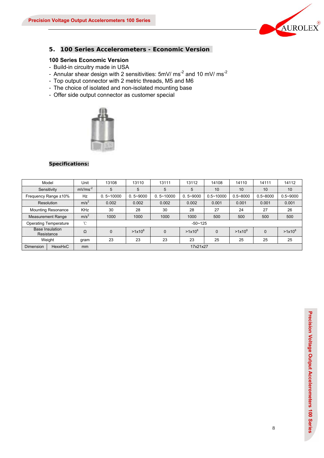

## **5. 100 Series Accelerometers - Economic Version**

## **100 Series Economic Version**

- Build-in circuitry made in USA
- Annular shear design with 2 sensitivities: 5mV/ ms<sup>-2</sup> and 10 mV/ ms<sup>-2</sup>
- Top output connector with 2 metric threads, M5 and M6
- The choice of isolated and non-isolated mounting base
- Offer side output connector as customer special



|                                              | Model                                | Unit             | 13108                                                                        | 13110        | 13111         | 13112        | 14108         | 14110        | 14111        | 14112        |
|----------------------------------------------|--------------------------------------|------------------|------------------------------------------------------------------------------|--------------|---------------|--------------|---------------|--------------|--------------|--------------|
|                                              | Sensitivity                          | $mV/ms^{-2}$     | 5                                                                            | 5            | 5             | 5            | 10            | 10           | 10           | 10           |
|                                              | Frequency Range ±10%                 | Hz               | $0.5 - 10000$                                                                | $0.5 - 9000$ | $0.5 - 10000$ | $0.5 - 9000$ | $0.5 - 10000$ | $0.5 - 8000$ | $0.5 - 8000$ | $0.5 - 9000$ |
|                                              | Resolution                           | m/s <sup>2</sup> | 0.002                                                                        | 0.002        | 0.002         | 0.002        | 0.001         | 0.001        | 0.001        | 0.001        |
|                                              | <b>Mounting Resonance</b>            | <b>KHz</b>       | 30                                                                           | 28           | 30            | 28           | 27            | 24           | 27           | 26           |
|                                              | <b>Measurement Range</b>             | m/s <sup>2</sup> | 1000                                                                         | 1000         | 1000          | 1000         | 500           | 500          | 500          | 500          |
|                                              | <b>Operating Temperature</b>         | °C               |                                                                              |              |               | $-50 - 125$  |               |              |              |              |
|                                              | <b>Base Insulation</b><br>Resistance | Ω                | $>1x10^8$<br>$>1x10^8$<br>$>1x10^8$<br>0<br>$\Omega$<br>$\Omega$<br>$\Omega$ |              |               |              |               |              | $>1x10^8$    |              |
| 23<br>23<br>23<br>Weight<br>23<br>25<br>gram |                                      |                  |                                                                              | 25           | 25            | 25           |               |              |              |              |
| Dimension                                    | HexxHxC                              | mm               |                                                                              |              |               | 17x21x27     |               |              |              |              |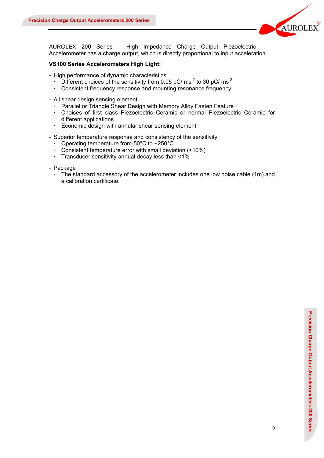

AUROLEX 200 Series – High Impedance Charge Output Piezoelectric Accelerometer has a charge output, which is directly proportional to input acceleration.

#### **VS100 Series Accelerometers High Light:**

- High performance of dynamic characteristics
	- $\cdot$  Different choices of the sensitivity from 0.05 pC/ ms<sup>-2</sup> to 30 pC/ ms<sup>-2</sup>
	- Consistent frequency response and mounting resonance frequency
- All shear design sensing element
	- Parallel or Triangle Shear Design with Memory Alloy Fasten Feature
	- Choices of first class Piezoelectric Ceramic or normal Piezoelectric Ceramic for different applications
	- Economic design with annular shear sensing element
- Superior temperature response and consistency of the sensitivity
	- Operating temperature from-50°C to +250°C
	- Consistent temperature error with small deviation (<10%)
	- Transducer sensitivity annual decay less than  $<1\%$
- Package
	- The standard accessory of the accelerometer includes one low noise cable (1m) and a calibration certificate.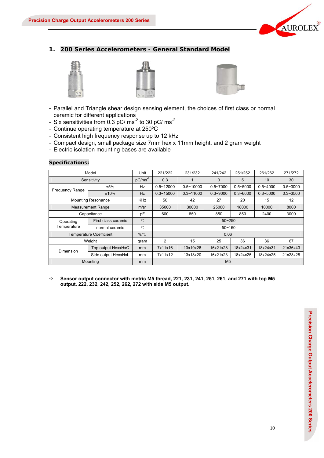

## **1. 200 Series Accelerometers - General Standard Model**







- Parallel and Triangle shear design sensing element, the choices of first class or normal ceramic for different applications
- Six sensitivities from  $0.3$  pC/ ms<sup>-2</sup> to 30 pC/ ms<sup>-2</sup>
- Continue operating temperature at 250ºC
- Consistent high frequency response up to 12 kHz
- Compact design, small package size 7mm hex x 11mm height, and 2 gram weight
- Electric isolation mounting bases are available

#### **Specifications:**

|                                                                       | Model                          | Unit          | 221/222        | 231/232       | 241/242      | 251/252      | 261/262      | 271/272      |  |  |
|-----------------------------------------------------------------------|--------------------------------|---------------|----------------|---------------|--------------|--------------|--------------|--------------|--|--|
|                                                                       | Sensitivity                    | $pC/ms-2$     | 0.3            |               | 3            | 5            | 10           | 30           |  |  |
| <b>Frequency Range</b>                                                | ±5%                            | Hz            | $0.5 - 12000$  | $0.5 - 10000$ | $0.5 - 7000$ | $0.5 - 5000$ | $0.5 - 4000$ | $0.5 - 3000$ |  |  |
|                                                                       | ±10%                           | Hz            | $0.3 - 15000$  | $0.3 - 11000$ | $0.3 - 9000$ | $0.3 - 6000$ | $0.3 - 5000$ | $0.3 - 3500$ |  |  |
| <b>Mounting Resonance</b><br><b>KHz</b><br>27<br>20<br>15<br>50<br>42 |                                |               |                |               | 12           |              |              |              |  |  |
| <b>Measurement Range</b>                                              | m/s <sup>2</sup>               | 35000         | 30000          | 25000         | 18000        | 10000        | 8000         |              |  |  |
| Capacitance                                                           | pF                             | 600           | 850            | 850           | 850          | 2400         | 3000         |              |  |  |
| Operating                                                             | First class ceramic            | $^{\circ}$ C  | $-50 - 250$    |               |              |              |              |              |  |  |
| Temperature                                                           | normal ceramic                 | °C            |                | $-50 - 160$   |              |              |              |              |  |  |
|                                                                       | <b>Temperature Coefficient</b> | $\%$ /°C      |                |               | 0.06         |              |              |              |  |  |
|                                                                       | Weight                         | gram          | 2              | 15            | 25           | 36           | 36           | 67           |  |  |
| <b>Dimension</b>                                                      | Top output HexxHxC             | mm            | 7x11x16        | 13x19x26      | 16x21x28     | 18x24x31     | 18x24x31     | 21x36x43     |  |  |
|                                                                       | Side output HexxHxL            | mm            | 7x11x12        | 13x18x20      | 16x21x23     | 18x24x25     | 18x24x25     | 21x28x28     |  |  |
|                                                                       | Mounting                       | <sub>mm</sub> | M <sub>5</sub> |               |              |              |              |              |  |  |

 $\diamond$  Sensor output connector with metric M5 thread, 221, 231, 241, 251, 261, and 271 with top M5 **output. 222, 232, 242, 252, 262, 272 with side M5 output.**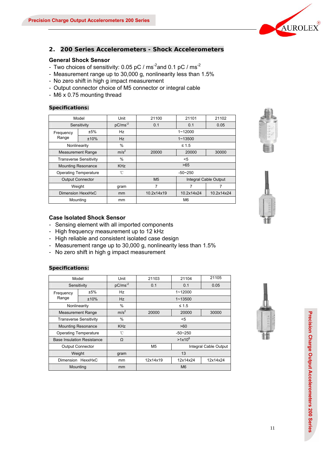

## **2. 200 Series Accelerometers - Shock Accelerometers**

#### **General Shock Sensor**

- Two choices of sensitivity: 0.05 pC / ms<sup>-2</sup>and 0.1 pC / ms<sup>-2</sup>
- Measurement range up to 30,000 g, nonlinearity less than 1.5%
- No zero shift in high g impact measurement
- Output connector choice of M5 connector or integral cable
- M6 x 0.75 mounting thread

## **Specifications:**

|                   | Model                         | Unit             | 21100                    | 21101       | 21102                 |  |  |
|-------------------|-------------------------------|------------------|--------------------------|-------------|-----------------------|--|--|
|                   | Sensitivity                   | $pC/ms^{-2}$     | 0.1<br>0.1               |             | 0.05                  |  |  |
| Frequency         | ±5%                           | Hz               | $1 - 12000$              |             |                       |  |  |
| Range             | ±10%                          | <b>Hz</b>        |                          | $1 - 13500$ |                       |  |  |
|                   | Nonlinearity                  | $\%$             | $\leq 1.5$               |             |                       |  |  |
|                   | <b>Measurement Range</b>      | m/s <sup>2</sup> | 20000                    | 20000       | 30000                 |  |  |
|                   | <b>Transverse Sensitivity</b> | $\%$             | <5                       |             |                       |  |  |
|                   | <b>Mounting Resonance</b>     | <b>KHz</b>       |                          | >65         |                       |  |  |
|                   | <b>Operating Temperature</b>  | °C               |                          | $-50-250$   |                       |  |  |
|                   | <b>Output Connector</b>       |                  | M <sub>5</sub>           |             | Integral Cable Output |  |  |
|                   | Weight                        | gram             | 7                        | 7           |                       |  |  |
| Dimension HexxHxC |                               | mm               | 10.2x14x19<br>10.2x14x24 |             | 10.2x14x24            |  |  |
|                   | Mounting                      | mm               | M <sub>6</sub>           |             |                       |  |  |

## **Case Isolated Shock Sensor**

- Sensing element with all imported components
- High frequency measurement up to 12 kHz
- High reliable and consistent isolated case design
- Measurement range up to 30,000 g, nonlinearity less than 1.5%
- No zero shift in high g impact measurement

| Model                         |                                   | Unit             | 21103                | 21104       | 21105                 |  |
|-------------------------------|-----------------------------------|------------------|----------------------|-------------|-----------------------|--|
|                               | Sensitivity                       | $pC/ms-2$        | 0.1                  | 0.1         | 0.05                  |  |
| Frequency                     | ±5%                               | Hz               |                      | $1 - 12000$ |                       |  |
| Range                         | ±10%                              | <b>Hz</b>        |                      | $1 - 13500$ |                       |  |
| Nonlinearity                  |                                   | %                |                      | $\leq 1.5$  |                       |  |
|                               | <b>Measurement Range</b>          | m/s <sup>2</sup> | 20000                | 20000       | 30000                 |  |
| <b>Transverse Sensitivity</b> |                                   | %                | $5$                  |             |                       |  |
|                               | <b>Mounting Resonance</b>         | <b>KHz</b>       | >60                  |             |                       |  |
|                               | <b>Operating Temperature</b>      | °C               | $-50 - 250$          |             |                       |  |
|                               | <b>Base Insulation Resistance</b> | Ω                |                      | $>1x10^8$   |                       |  |
|                               | <b>Output Connector</b>           |                  | M <sub>5</sub>       |             | Integral Cable Output |  |
| Weight                        |                                   | gram             | 13                   |             |                       |  |
| Dimension HexxHxC             |                                   | mm               | 12x14x19<br>12x14x24 |             | 12x14x24              |  |
| Mounting                      |                                   | mm               | M <sub>6</sub>       |             |                       |  |





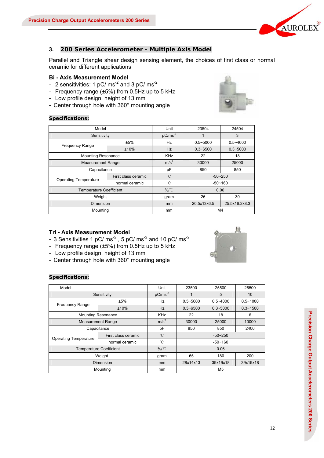

#### **3. 200 Series Accelerometer - Multiple Axis Model**

Parallel and Triangle shear design sensing element, the choices of first class or normal ceramic for different applications

#### **Bi - Axis Measurement Model**

- 2 sensitivities: 1  $pC/ms^{-2}$  and 3  $pC/ms^{-2}$
- Frequency range (±5%) from 0.5Hz up to 5 kHz
- Low profile design, height of 13 mm
- Center through hole with 360° mounting angle

#### **Specifications:**

| Model                          |                     | Unit          | 23504        | 24504         |
|--------------------------------|---------------------|---------------|--------------|---------------|
| Sensitivity                    |                     | $pC/ms-2$     |              | 3             |
| <b>Frequency Range</b>         | ±5%                 | Hz            | $0.5 - 5000$ | $0.5 - 4000$  |
|                                | ±10%                | <b>Hz</b>     | $0.3 - 6500$ | $0.3 - 5000$  |
| <b>Mounting Resonance</b>      |                     | <b>KHz</b>    | 22           | 18            |
| <b>Measurement Range</b>       | m/s <sup>2</sup>    | 30000         | 25000        |               |
| Capacitance                    |                     | рF            | 850          | 850           |
| <b>Operating Temperature</b>   | First class ceramic | °C            | $-50 - 250$  |               |
|                                | normal ceramic      | °C            | $-50 - 160$  |               |
| <b>Temperature Coefficient</b> |                     | $\%$ /°C      | 0.06         |               |
| Weight                         | gram                | 26            | 30           |               |
| <b>Dimension</b>               |                     | <sub>mm</sub> | 20.5x13x6.5  | 25.5x16.2x8.3 |
| Mounting                       |                     | mm            |              | M4            |

#### **Tri - Axis Measurement Model**

- 3 Sensitivities 1 pC/  $\text{ms}^2$ , 5 pC/  $\text{ms}^2$  and 10 pC/  $\text{ms}^2$
- Frequency range (±5%) from 0.5Hz up to 5 kHz
- Low profile design, height of 13 mm
- Center through hole with 360° mounting angle

| Model                        |                                | Unit       | 23500        | 25500          | 26500        |
|------------------------------|--------------------------------|------------|--------------|----------------|--------------|
|                              | Sensitivity                    | $pC/ms-2$  |              | 5              | 10           |
| <b>Frequency Range</b>       | ±5%                            | Hz         | $0.5 - 5000$ | $0.5 - 4000$   | $0.5 - 1000$ |
|                              | ±10%                           | Hz         | $0.3 - 6500$ | $0.3 - 5000$   | $0.3 - 1500$ |
|                              | <b>Mounting Resonance</b>      | <b>KHz</b> | 22           | 18             | 6            |
| <b>Measurement Range</b>     | m/s <sup>2</sup>               | 30000      | 25000        | 10000          |              |
|                              | Capacitance                    | pF         | 850          | 850            | 2400         |
| <b>Operating Temperature</b> | First class ceramic            | °C         |              | $-50 - 250$    |              |
|                              | normal ceramic                 | °C         | $-50 - 160$  |                |              |
|                              | <b>Temperature Coefficient</b> | $\%$ /°C   | 0.06         |                |              |
| Weight                       | gram                           | 65         | 180          | 200            |              |
| Dimension                    | mm                             | 28x14x13   | 39x19x18     | 39x19x18       |              |
|                              | Mounting                       | mm         |              | M <sub>5</sub> |              |

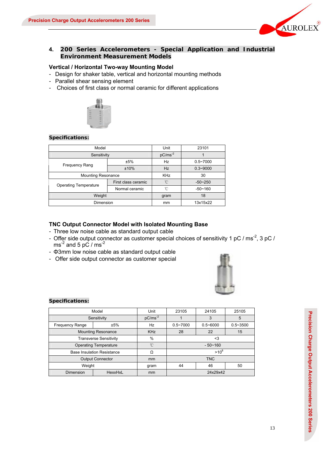

## **4. 200 Series Accelerometers - Special Application and Industrial Environment Measurement Models**

#### **Vertical / Horizontal Two-way Mounting Model**

- Design for shaker table, vertical and horizontal mounting methods
- Parallel shear sensing element
- Choices of first class or normal ceramic for different applications



#### **Specifications:**

| Model                        | Unit                | 23101        |              |
|------------------------------|---------------------|--------------|--------------|
| Sensitivity                  |                     | $pC/ms^{-2}$ |              |
| <b>Frequency Rang</b>        | ±5%                 | Hz           | $0.5 - 7000$ |
|                              | ±10%                | <b>Hz</b>    | $0.3 - 9000$ |
| <b>Mounting Resonance</b>    |                     | <b>KHz</b>   | 30           |
| <b>Operating Temperature</b> | First class ceramic | °C           | $-50 - 250$  |
|                              | Normal ceramic      | °C           | $-50 - 160$  |
| Weight                       | gram                | 18           |              |
| Dimension                    | mm                  | 13x15x22     |              |

#### **TNC Output Connector Model with Isolated Mounting Base**

- Three low noise cable as standard output cable
- Offer side output connector as customer special choices of sensitivity 1 pC / ms<sup>-2</sup>, 3 pC /  $\text{ms}^2$  and 5 pC / ms<sup>-2</sup>
- Φ3mm low noise cable as standard output cable
- Offer side output connector as customer special



| Model                         | Unit                              | 23105         | 24105          | 25105        |              |
|-------------------------------|-----------------------------------|---------------|----------------|--------------|--------------|
|                               | Sensitivity                       | $pC/ms^{-2}$  |                | 3            | 5            |
| <b>Frequency Range</b>        | ±5%                               | Hz            | $0.5 - 7000$   | $0.5 - 6000$ | $0.5 - 3500$ |
| <b>Mounting Resonance</b>     | <b>KHz</b>                        | 28            | 22             | 15           |              |
| <b>Transverse Sensitivity</b> | %                                 | $3$           |                |              |              |
|                               | <b>Operating Temperature</b>      | °C            | $-50 - 160$    |              |              |
|                               | <b>Base Insulation Resistance</b> | Ω             | $>10^8$        |              |              |
| <b>Output Connector</b>       | <sub>mm</sub>                     | <b>TNC</b>    |                |              |              |
| Weight                        |                                   | gram          | 44<br>46<br>50 |              |              |
| Dimension                     | HexxHxL                           | <sub>mm</sub> | 24x29x42       |              |              |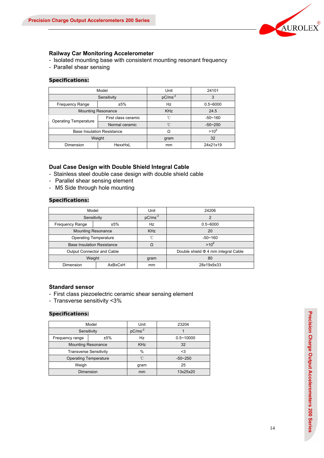

#### **Railway Car Monitoring Accelerometer**

- Isolated mounting base with consistent mounting resonant frequency
- Parallel shear sensing

#### **Specifications:**

|                              | Model                             | Unit       | 24101        |
|------------------------------|-----------------------------------|------------|--------------|
|                              | Sensitivity                       | $pC/ms-2$  | 3            |
| <b>Frequency Range</b>       | ±5%                               | Hz         | $0.5 - 6000$ |
|                              | <b>Mounting Resonance</b>         | <b>KHz</b> | 24.5         |
|                              | First class ceramic               | 'n         | $-50 - 160$  |
| <b>Operating Temperature</b> | Normal ceramic                    | 'n         | $-50 - 250$  |
|                              | <b>Base Insulation Resistance</b> | Ω          | $>10^8$      |
|                              | Weight                            | gram       | 32           |
| <b>Dimension</b>             | HexxHxL                           |            | 24x21x19     |

#### **Dual Case Design with Double Shield Integral Cable**

- Stainless steel double case design with double shield cable
- Parallel shear sensing element
- M5 Side through hole mounting

## **Specifications:**

| Model                             |         | Unit         | 24206                                    |  |
|-----------------------------------|---------|--------------|------------------------------------------|--|
| Sensitivity                       |         | $pC/ms^{-2}$ | っ                                        |  |
| <b>Frequency Range</b>            | ±5%     |              | $0.5 - 6000$                             |  |
| <b>Mounting Resonance</b>         |         | <b>KHz</b>   | 20                                       |  |
| <b>Operating Temperature</b>      |         | 'n           | $-50 - 160$                              |  |
| <b>Base Insulation Resistance</b> |         | Ω            | $>10^8$                                  |  |
| Output Connector and Cable        |         |              | Double shield $\Phi$ 4 mm integral Cable |  |
| Weight                            |         | gram         | 80                                       |  |
| Dimension                         | AxBxCxH | mm           | 28x19x9x33                               |  |

#### **Standard sensor**

- First class piezoelectric ceramic shear sensing element
- Transverse sensitivity <3%

|                              | Model                         | Unit         | 23204         |
|------------------------------|-------------------------------|--------------|---------------|
| Sensitivity                  |                               | $pC/ms^{-2}$ |               |
| ±5%<br>Frequency range       |                               | Hz           | $0.5 - 10000$ |
| <b>Mounting Resonance</b>    |                               | <b>KHz</b>   | 32            |
|                              | <b>Transverse Sensitivity</b> | $\%$         | $3$           |
| <b>Operating Temperature</b> |                               | 'n           | $-50 - 250$   |
| Weigh                        |                               | gram         | 25            |
| Dimension                    |                               | mm           | 13x25x20      |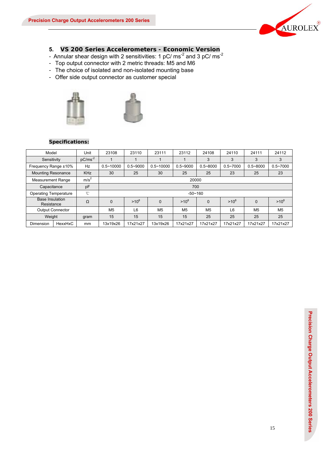

## **5. VS 200 Series Accelerometers - Economic Version**

- Annular shear design with 2 sensitivities: 1  $pC/ms<sup>-2</sup>$  and 3  $pC/ms<sup>-2</sup>$
- Top output connector with 2 metric threads: M5 and M6
- The choice of isolated and non-isolated mounting base
- Offer side output connector as customer special





| Model                                |         | Unit             | 23108          | 23110          | 23111          | 23112          | 24108          | 24110          | 24111          | 24112          |
|--------------------------------------|---------|------------------|----------------|----------------|----------------|----------------|----------------|----------------|----------------|----------------|
| Sensitivity                          |         | $pC/ms-2$        |                |                |                |                | 3              | 3              | 3              | 3              |
| Frequency Range ±10%                 |         | Hz               | $0.5 - 10000$  | $0.5 - 9000$   | $0.5 - 10000$  | $0.5 - 9000$   | $0.5 - 8000$   | $0.5 - 7000$   | $0.5 - 8000$   | $0.5 - 7000$   |
| <b>Mounting Resonance</b>            |         | <b>KHz</b>       | 30             | 25             | 30             | 25             | 25             | 23             | 25             | 23             |
| <b>Measurement Range</b>             |         | m/s <sup>2</sup> |                | 20000          |                |                |                |                |                |                |
| Capacitance                          |         | pF               |                |                |                | 700            |                |                |                |                |
| <b>Operating Temperature</b>         |         | °C               |                |                |                | $-50 - 160$    |                |                |                |                |
| <b>Base Insulation</b><br>Resistance |         | Ω                | 0              | $>10^8$        | $\Omega$       | $>10^8$        | $\Omega$       | $>10^8$        | $\Omega$       | $>10^8$        |
| <b>Output Connector</b>              |         |                  | M <sub>5</sub> | L <sub>6</sub> | M <sub>5</sub> | M <sub>5</sub> | M <sub>5</sub> | L <sub>6</sub> | M <sub>5</sub> | M <sub>5</sub> |
| Weight                               |         | gram             | 15             | 15             | 15             | 15             | 25             | 25             | 25             | 25             |
| Dimension                            | HexxHxC | mm               | 13x19x26       | 17x21x27       | 13x19x26       | 17x21x27       | 17x21x27       | 17x21x27       | 17x21x27       | 17x21x27       |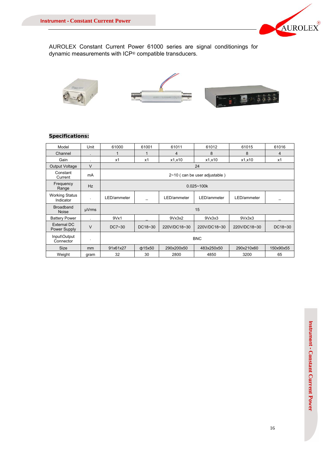

AUROLEX Constant Current Power 61000 series are signal conditionings for dynamic measurements with ICP® compatible transducers.



| Model                              | Unit      | 61000       | 61001          | 61011        | 61012                           | 61015        | 61016     |  |
|------------------------------------|-----------|-------------|----------------|--------------|---------------------------------|--------------|-----------|--|
| Channel                            |           | 1           |                | 4            | 8                               | 8            | 4         |  |
| Gain                               |           | x1          | x1             | x1,x10       | x1,x10                          | x1,x10       | x1        |  |
| Output Voltage                     | $\vee$    |             |                |              | 24                              |              |           |  |
| Constant<br>Current                | mA        |             |                |              | $2~10$ (can be user adjustable) |              |           |  |
| Frequency<br>Range                 | <b>Hz</b> |             | $0.025 - 100k$ |              |                                 |              |           |  |
| <b>Working Status</b><br>Indicator | ٠         | LED/ammeter |                | LED/ammeter  | LED/ammeter                     | LED/ammeter  |           |  |
| <b>Broadband</b><br><b>Noise</b>   | µVrms     |             | 15             |              |                                 |              |           |  |
| <b>Battery Power</b>               |           | 9Vx1        |                | 9Vx3x2       | 9Vx3x3                          | 9Vx3x3       |           |  |
| External DC<br>Power Supply        | $\vee$    | DC7~30      | DC18~30        | 220V/DC18~30 | 220V/DC18~30                    | 220V/DC18~30 | DC18~30   |  |
| Input\Output<br>Connector          | ٠         | <b>BNC</b>  |                |              |                                 |              |           |  |
| <b>Size</b>                        | mm        | 91x61x27    | ф15х50         | 290x200x50   | 483x250x50                      | 290x210x60   | 150x90x55 |  |
| Weight                             | gram      | 32          | 30             | 2800         | 4850                            | 3200         | 65        |  |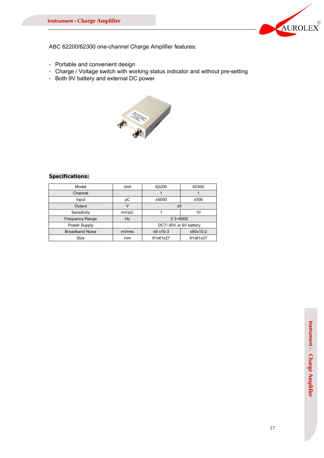

ABC 62200/62300 one-channel Charge Amplifier features:

- Portable and convenient design
- Charge / Voltage switch with working status indicator and without pre-setting
- Both 9V battery and external DC power



| Model                  | Unit      | 62200                 | 62300    |  |
|------------------------|-----------|-----------------------|----------|--|
| Channel                | $\bullet$ |                       |          |  |
| Input                  | рC        | ±5000                 | ±500     |  |
| Output                 |           | ±5                    |          |  |
| Sensitivity            | mV/pC     |                       | 10       |  |
| <b>Frequency Range</b> | <b>Hz</b> | $0.3 - 6000$          |          |  |
| Power Supply           |           | DC7~30V or 9V battery |          |  |
| <b>Broadband Noise</b> | mVrms     | $≤8$ x10-3            | ≤80x10-2 |  |
| Size                   | mm        | 91x61x27              | 91x61x27 |  |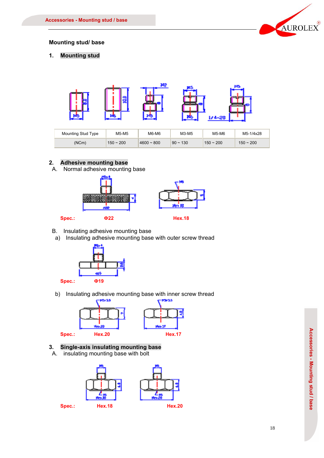

## **Mounting stud/ base**

**1. Mounting stud** 



| Mounting Stud Type | M6-M6<br>M5-M5 |                 | M3-M5            | M5-M6       | M5-1/4x28   |
|--------------------|----------------|-----------------|------------------|-------------|-------------|
| (NCm)              | $150 - 200$    | $4600 \sim 800$ | $90 \sim$<br>130 | $150 - 200$ | $150 - 200$ |

## **2. Adhesive mounting base**

A. Normal adhesive mounting base



- B. Insulating adhesive mounting base
	- a) Insulating adhesive mounting base with outer screw thread



b) Insulating adhesive mounting base with inner screw thread



## **3. Single-axis insulating mounting base**

A. insulating mounting base with bolt

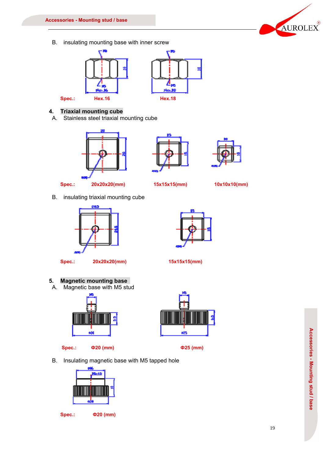B. insulating mounting base with inner screw



## **4. Triaxial mounting cube**

A. Stainless steel triaxial mounting cube









Spec.: 20x20x20(mm) 15x15x15(mm) 10x10x10(mm)

B. insulating triaxial mounting cube







# **5. Magnetic mounting base**

A. Magnetic base with M5 stud







B. Insulating magnetic base with M5 tapped hole











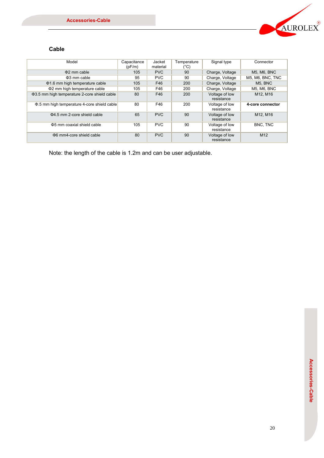

# **Cable**

| Model                                        | Capacitance<br>(pF/m) | Jacket<br>material | Temperature<br>$(^{\circ}C)$ | Signal type                  | Connector            |
|----------------------------------------------|-----------------------|--------------------|------------------------------|------------------------------|----------------------|
| $\Phi$ 2 mm cable                            | 105                   | <b>PVC</b>         | 90                           | Charge, Voltage              | <b>M5, M6, BNC</b>   |
| $\Phi$ 3 mm cable                            | 95                    | <b>PVC</b>         | 90                           | Charge, Voltage              | M5, M6, BNC, TNC     |
| Φ1.6 mm high temperature cable               | 105                   | F46                | 200                          | Charge, Voltage              | M <sub>5</sub> . BNC |
| Φ2 mm high temperature cable                 | 105                   | F46                | 200                          | Charge, Voltage              | <b>M5. M6. BNC</b>   |
| Φ3.5 mm high temperature 2-core shield cable | 80                    | F46                | 200                          | Voltage of low<br>resistance | M12, M16             |
| Φ.5 mm high temperature 4-core shield cable  | 80                    | F46                | 200                          | Voltage of low<br>resistance | 4-core connector     |
| Φ4.5 mm 2-core shield cable                  | 65                    | <b>PVC</b>         | 90                           | Voltage of low<br>resistance | M12, M16             |
| Φ5 mm coaxial shield cable                   | 105                   | <b>PVC</b>         | 90                           | Voltage of low<br>resistance | BNC, TNC             |
| $\Phi$ 6 mm4-core shield cable               | 80                    | <b>PVC</b>         | 90                           | Voltage of low<br>resistance | M <sub>12</sub>      |

Note: the length of the cable is 1.2m and can be user adjustable.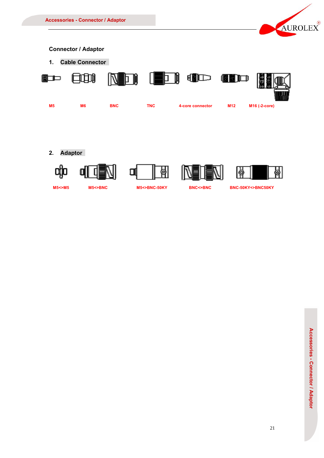











**M5<>M5 M5<>BNC M5<>BNC-50KY BNC<>BNC BNC-50KY<>BNC50KY**